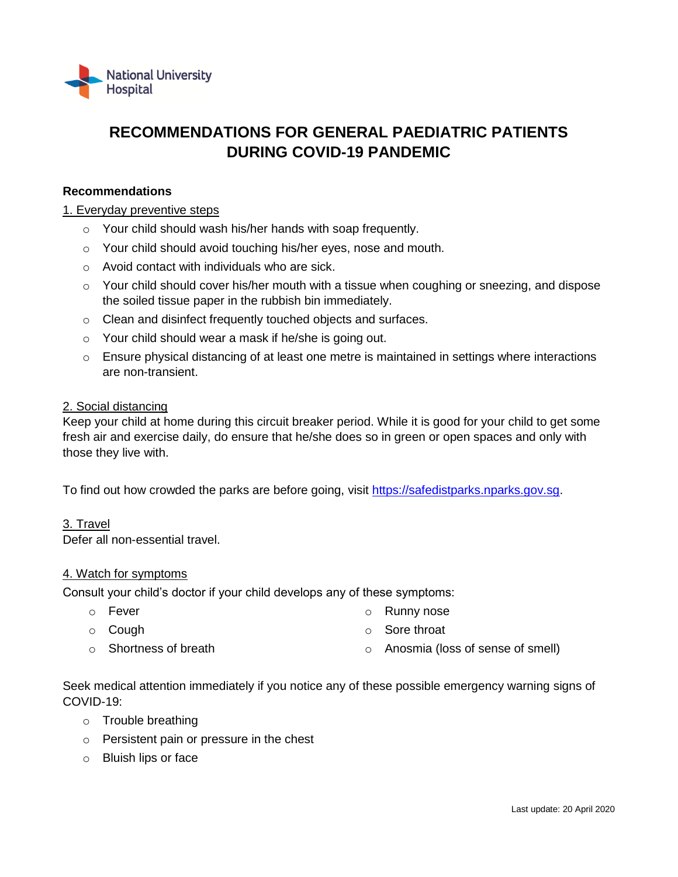

# **RECOMMENDATIONS FOR GENERAL PAEDIATRIC PATIENTS DURING COVID-19 PANDEMIC**

# **Recommendations**

## 1. Everyday preventive steps

- o Your child should wash his/her hands with soap frequently.
- o Your child should avoid touching his/her eyes, nose and mouth.
- o Avoid contact with individuals who are sick.
- $\circ$  Your child should cover his/her mouth with a tissue when coughing or sneezing, and dispose the soiled tissue paper in the rubbish bin immediately.
- o Clean and disinfect frequently touched objects and surfaces.
- o Your child should wear a mask if he/she is going out.
- $\circ$  Ensure physical distancing of at least one metre is maintained in settings where interactions are non-transient.

## 2. Social distancing

Keep your child at home during this circuit breaker period. While it is good for your child to get some fresh air and exercise daily, do ensure that he/she does so in green or open spaces and only with those they live with.

To find out how crowded the parks are before going, visit [https://safedistparks.nparks.gov.sg.](https://safedistparks.nparks.gov.sg/)

#### 3. Travel

Defer all non-essential travel.

#### 4. Watch for symptoms

Consult your child's doctor if your child develops any of these symptoms:

- o Fever o Runny nose
- o Cough
- o Sore throat

o Shortness of breath

o Anosmia (loss of sense of smell)

Seek medical attention immediately if you notice any of these possible emergency warning signs of COVID-19:

- o Trouble breathing
- o Persistent pain or pressure in the chest
- o Bluish lips or face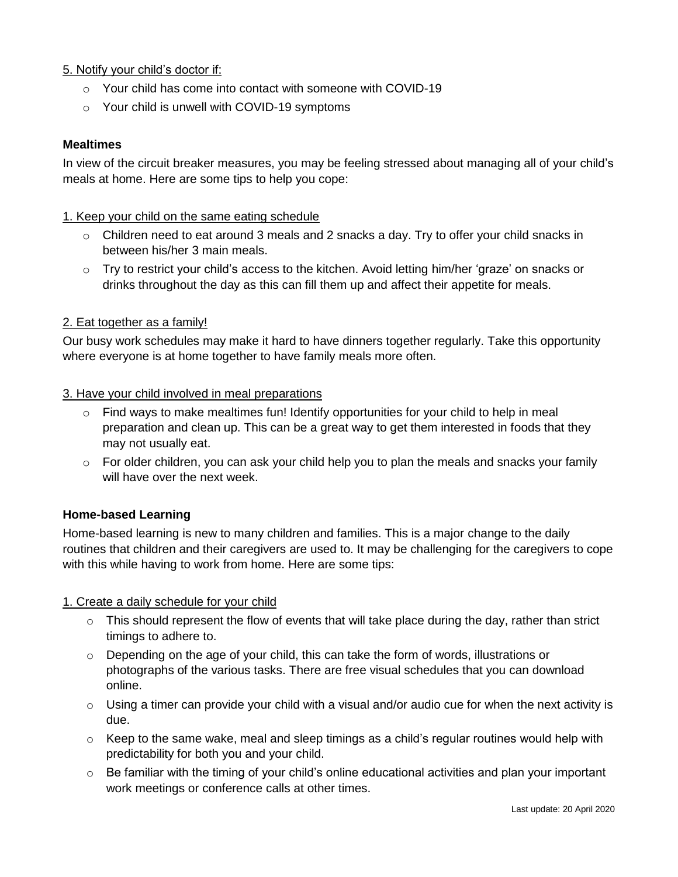# 5. Notify your child's doctor if:

- o Your child has come into contact with someone with COVID-19
- o Your child is unwell with COVID-19 symptoms

## **Mealtimes**

In view of the circuit breaker measures, you may be feeling stressed about managing all of your child's meals at home. Here are some tips to help you cope:

## 1. Keep your child on the same eating schedule

- $\circ$  Children need to eat around 3 meals and 2 snacks a day. Try to offer your child snacks in between his/her 3 main meals.
- $\circ$  Try to restrict your child's access to the kitchen. Avoid letting him/her 'graze' on snacks or drinks throughout the day as this can fill them up and affect their appetite for meals.

## 2. Eat together as a family!

Our busy work schedules may make it hard to have dinners together regularly. Take this opportunity where everyone is at home together to have family meals more often.

#### 3. Have your child involved in meal preparations

- $\circ$  Find ways to make mealtimes fun! Identify opportunities for your child to help in meal preparation and clean up. This can be a great way to get them interested in foods that they may not usually eat.
- $\circ$  For older children, you can ask your child help you to plan the meals and snacks your family will have over the next week.

# **Home-based Learning**

Home-based learning is new to many children and families. This is a major change to the daily routines that children and their caregivers are used to. It may be challenging for the caregivers to cope with this while having to work from home. Here are some tips:

#### 1. Create a daily schedule for your child

- $\circ$  This should represent the flow of events that will take place during the day, rather than strict timings to adhere to.
- $\circ$  Depending on the age of your child, this can take the form of words, illustrations or photographs of the various tasks. There are free visual schedules that you can download online.
- $\circ$  Using a timer can provide your child with a visual and/or audio cue for when the next activity is due.
- $\circ$  Keep to the same wake, meal and sleep timings as a child's regular routines would help with predictability for both you and your child.
- o Be familiar with the timing of your child's online educational activities and plan your important work meetings or conference calls at other times.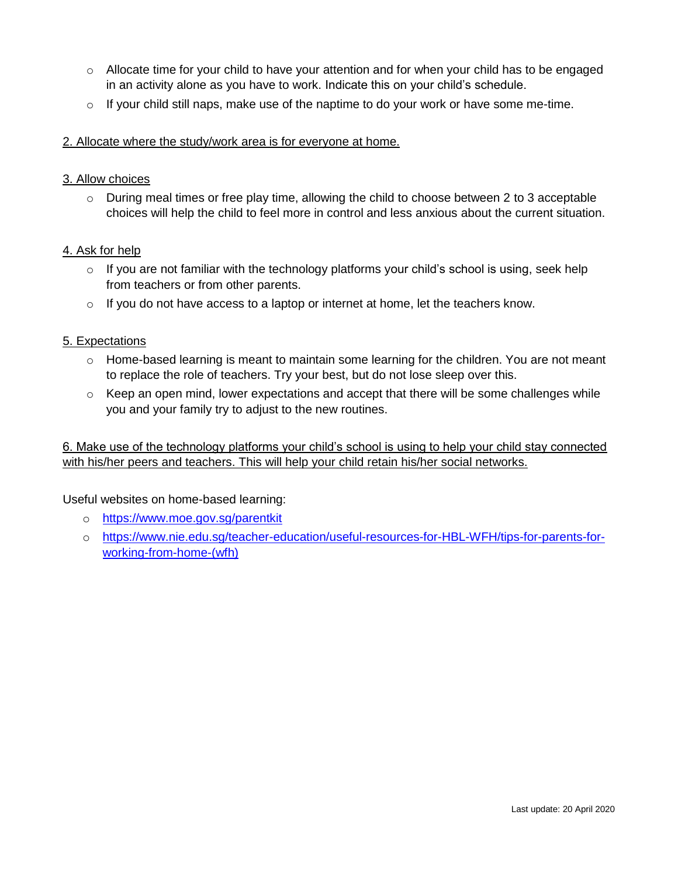- $\circ$  Allocate time for your child to have your attention and for when your child has to be engaged in an activity alone as you have to work. Indicate this on your child's schedule.
- o If your child still naps, make use of the naptime to do your work or have some me-time.
- 2. Allocate where the study/work area is for everyone at home.

## 3. Allow choices

 $\circ$  During meal times or free play time, allowing the child to choose between 2 to 3 acceptable choices will help the child to feel more in control and less anxious about the current situation.

## 4. Ask for help

- $\circ$  If you are not familiar with the technology platforms your child's school is using, seek help from teachers or from other parents.
- $\circ$  If you do not have access to a laptop or internet at home, let the teachers know.

#### 5. Expectations

- o Home-based learning is meant to maintain some learning for the children. You are not meant to replace the role of teachers. Try your best, but do not lose sleep over this.
- $\circ$  Keep an open mind, lower expectations and accept that there will be some challenges while you and your family try to adjust to the new routines.

6. Make use of the technology platforms your child's school is using to help your child stay connected with his/her peers and teachers. This will help your child retain his/her social networks.

# Useful websites on home-based learning:

- o <https://www.moe.gov.sg/parentkit>
- o [https://www.nie.edu.sg/teacher-education/useful-resources-for-HBL-WFH/tips-for-parents-for](https://www.nie.edu.sg/teacher-education/useful-resources-for-HBL-WFH/tips-for-parents-for-working-from-home-(wfh))[working-from-home-\(wfh\)](https://www.nie.edu.sg/teacher-education/useful-resources-for-HBL-WFH/tips-for-parents-for-working-from-home-(wfh))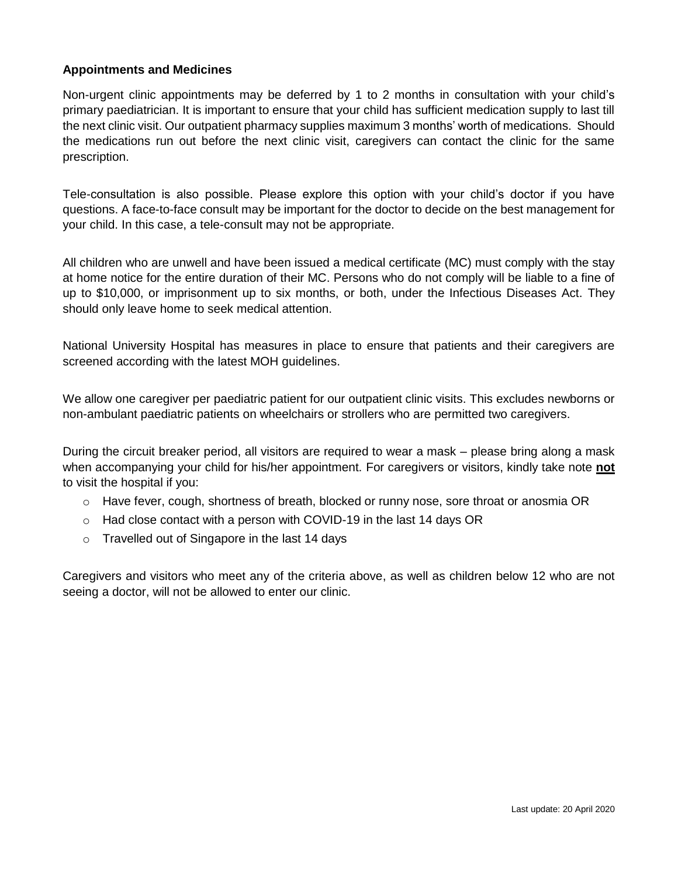# **Appointments and Medicines**

Non-urgent clinic appointments may be deferred by 1 to 2 months in consultation with your child's primary paediatrician. It is important to ensure that your child has sufficient medication supply to last till the next clinic visit. Our outpatient pharmacy supplies maximum 3 months' worth of medications. Should the medications run out before the next clinic visit, caregivers can contact the clinic for the same prescription.

Tele-consultation is also possible. Please explore this option with your child's doctor if you have questions. A face-to-face consult may be important for the doctor to decide on the best management for your child. In this case, a tele-consult may not be appropriate.

All children who are unwell and have been issued a medical certificate (MC) must comply with the stay at home notice for the entire duration of their MC. Persons who do not comply will be liable to a fine of up to \$10,000, or imprisonment up to six months, or both, under the Infectious Diseases Act. They should only leave home to seek medical attention.

National University Hospital has measures in place to ensure that patients and their caregivers are screened according with the latest MOH guidelines.

We allow one caregiver per paediatric patient for our outpatient clinic visits. This excludes newborns or non-ambulant paediatric patients on wheelchairs or strollers who are permitted two caregivers.

During the circuit breaker period, all visitors are required to wear a mask – please bring along a mask when accompanying your child for his/her appointment. For caregivers or visitors, kindly take note **not** to visit the hospital if you:

- o Have fever, cough, shortness of breath, blocked or runny nose, sore throat or anosmia OR
- o Had close contact with a person with COVID-19 in the last 14 days OR
- o Travelled out of Singapore in the last 14 days

Caregivers and visitors who meet any of the criteria above, as well as children below 12 who are not seeing a doctor, will not be allowed to enter our clinic.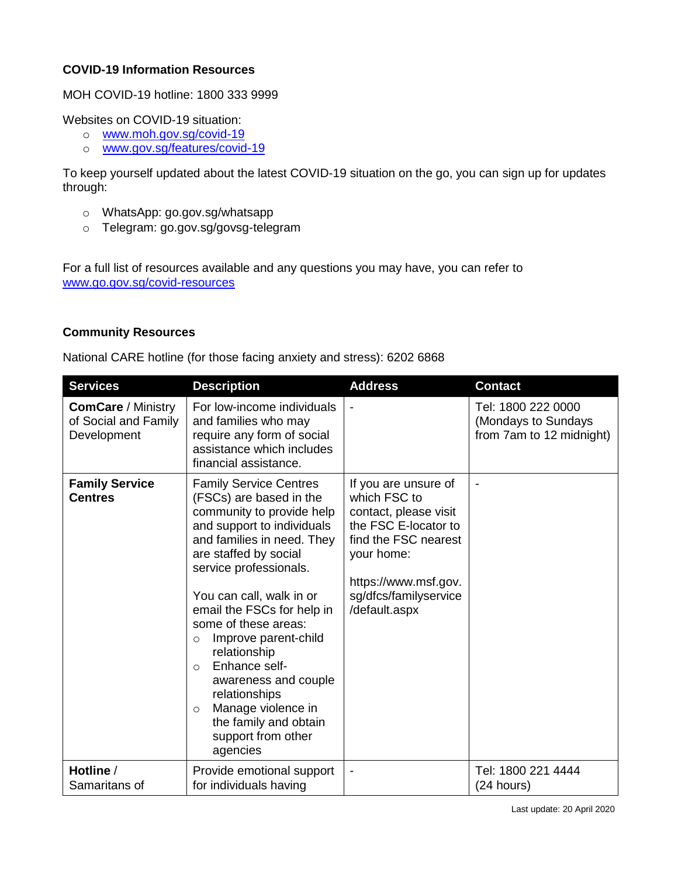# **COVID-19 Information Resources**

MOH COVID-19 hotline: 1800 333 9999

Websites on COVID-19 situation:

- o [www.moh.gov.sg/covid-19](http://www.moh.gov.sg/covid-19)
- o [www.gov.sg/features/covid-19](http://www.gov.sg/features/covid-19)

To keep yourself updated about the latest COVID-19 situation on the go, you can sign up for updates through:

- o WhatsApp: go.gov.sg/whatsapp
- o Telegram: go.gov.sg/govsg-telegram

For a full list of resources available and any questions you may have, you can refer to [www.go.gov.sg/covid-resources](http://www.go.gov.sg/covid-resources)

# **Community Resources**

National CARE hotline (for those facing anxiety and stress): 6202 6868

| <b>Services</b>                                                  | <b>Description</b>                                                                                                                                                                                                                                                                                                                                                                                                                                                                                         | <b>Address</b>                                                                                                                                                                                | <b>Contact</b>                                                        |
|------------------------------------------------------------------|------------------------------------------------------------------------------------------------------------------------------------------------------------------------------------------------------------------------------------------------------------------------------------------------------------------------------------------------------------------------------------------------------------------------------------------------------------------------------------------------------------|-----------------------------------------------------------------------------------------------------------------------------------------------------------------------------------------------|-----------------------------------------------------------------------|
| <b>ComCare / Ministry</b><br>of Social and Family<br>Development | For low-income individuals<br>and families who may<br>require any form of social<br>assistance which includes<br>financial assistance.                                                                                                                                                                                                                                                                                                                                                                     |                                                                                                                                                                                               | Tel: 1800 222 0000<br>(Mondays to Sundays<br>from 7am to 12 midnight) |
| <b>Family Service</b><br><b>Centres</b>                          | <b>Family Service Centres</b><br>(FSCs) are based in the<br>community to provide help<br>and support to individuals<br>and families in need. They<br>are staffed by social<br>service professionals.<br>You can call, walk in or<br>email the FSCs for help in<br>some of these areas:<br>Improve parent-child<br>$\circ$<br>relationship<br>Enhance self-<br>$\circ$<br>awareness and couple<br>relationships<br>Manage violence in<br>$\circ$<br>the family and obtain<br>support from other<br>agencies | If you are unsure of<br>which FSC to<br>contact, please visit<br>the FSC E-locator to<br>find the FSC nearest<br>your home:<br>https://www.msf.gov.<br>sg/dfcs/familyservice<br>/default.aspx | $\overline{\phantom{0}}$                                              |
| Hotline /<br>Samaritans of                                       | Provide emotional support<br>for individuals having                                                                                                                                                                                                                                                                                                                                                                                                                                                        |                                                                                                                                                                                               | Tel: 1800 221 4444<br>(24 hours)                                      |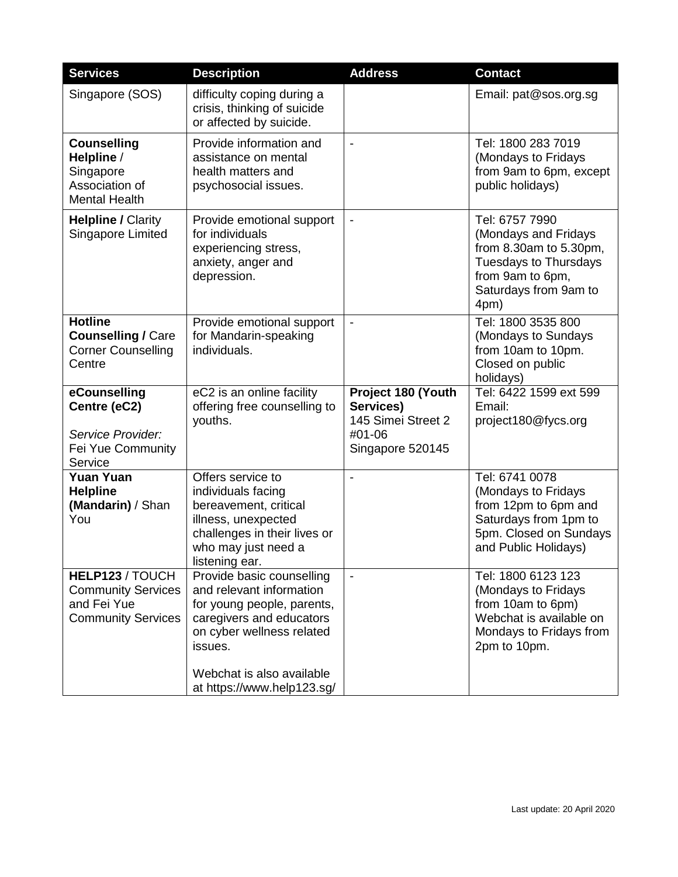| <b>Services</b>                                                                          | <b>Description</b>                                                                                                                                                                                                 | <b>Address</b>                                                                      | <b>Contact</b>                                                                                                                                        |
|------------------------------------------------------------------------------------------|--------------------------------------------------------------------------------------------------------------------------------------------------------------------------------------------------------------------|-------------------------------------------------------------------------------------|-------------------------------------------------------------------------------------------------------------------------------------------------------|
| Singapore (SOS)                                                                          | difficulty coping during a<br>crisis, thinking of suicide<br>or affected by suicide.                                                                                                                               |                                                                                     | Email: pat@sos.org.sg                                                                                                                                 |
| <b>Counselling</b><br>Helpline /<br>Singapore<br>Association of<br><b>Mental Health</b>  | Provide information and<br>assistance on mental<br>health matters and<br>psychosocial issues.                                                                                                                      | $\overline{\phantom{a}}$                                                            | Tel: 1800 283 7019<br>(Mondays to Fridays<br>from 9am to 6pm, except<br>public holidays)                                                              |
| <b>Helpline / Clarity</b><br>Singapore Limited                                           | Provide emotional support<br>for individuals<br>experiencing stress,<br>anxiety, anger and<br>depression.                                                                                                          |                                                                                     | Tel: 6757 7990<br>(Mondays and Fridays<br>from 8.30am to 5.30pm,<br><b>Tuesdays to Thursdays</b><br>from 9am to 6pm,<br>Saturdays from 9am to<br>4pm) |
| <b>Hotline</b><br><b>Counselling / Care</b><br><b>Corner Counselling</b><br>Centre       | Provide emotional support<br>for Mandarin-speaking<br>individuals.                                                                                                                                                 |                                                                                     | Tel: 1800 3535 800<br>(Mondays to Sundays<br>from 10am to 10pm.<br>Closed on public<br>holidays)                                                      |
| eCounselling<br>Centre (eC2)<br>Service Provider:<br>Fei Yue Community<br>Service        | eC2 is an online facility<br>offering free counselling to<br>youths.                                                                                                                                               | Project 180 (Youth<br>Services)<br>145 Simei Street 2<br>#01-06<br>Singapore 520145 | Tel: 6422 1599 ext 599<br>Email:<br>project180@fycs.org                                                                                               |
| <b>Yuan Yuan</b><br><b>Helpline</b><br>(Mandarin) / Shan<br>You                          | Offers service to<br>individuals facing<br>bereavement, critical<br>illness, unexpected<br>challenges in their lives or<br>who may just need a<br>listening ear.                                                   | $\blacksquare$                                                                      | Tel: 6741 0078<br>(Mondays to Fridays<br>from 12pm to 6pm and<br>Saturdays from 1pm to<br>5pm. Closed on Sundays<br>and Public Holidays)              |
| HELP123 / TOUCH<br><b>Community Services</b><br>and Fei Yue<br><b>Community Services</b> | Provide basic counselling<br>and relevant information<br>for young people, parents,<br>caregivers and educators<br>on cyber wellness related<br>issues.<br>Webchat is also available<br>at https://www.help123.sg/ | $\blacksquare$                                                                      | Tel: 1800 6123 123<br>(Mondays to Fridays<br>from 10am to 6pm)<br>Webchat is available on<br>Mondays to Fridays from<br>2pm to 10pm.                  |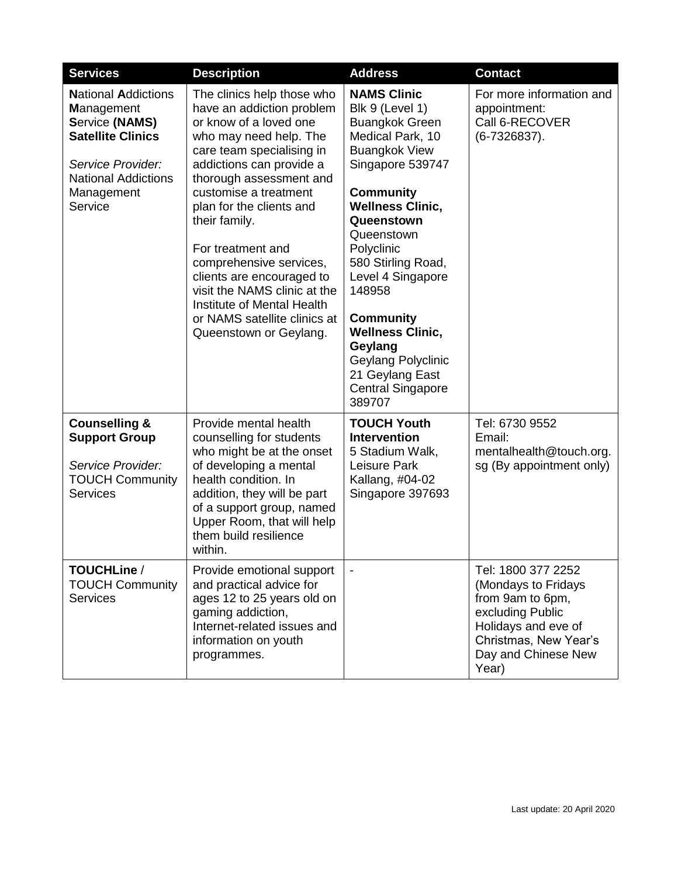| <b>Services</b>                                                                                                                                                                  | <b>Description</b>                                                                                                                                                                                                                                                                                                                                                                                                                                                         | <b>Address</b>                                                                                                                                                                                                                                                                                                                                                                                                        | <b>Contact</b>                                                                                                                                                    |
|----------------------------------------------------------------------------------------------------------------------------------------------------------------------------------|----------------------------------------------------------------------------------------------------------------------------------------------------------------------------------------------------------------------------------------------------------------------------------------------------------------------------------------------------------------------------------------------------------------------------------------------------------------------------|-----------------------------------------------------------------------------------------------------------------------------------------------------------------------------------------------------------------------------------------------------------------------------------------------------------------------------------------------------------------------------------------------------------------------|-------------------------------------------------------------------------------------------------------------------------------------------------------------------|
| <b>National Addictions</b><br><b>Management</b><br><b>Service (NAMS)</b><br><b>Satellite Clinics</b><br>Service Provider:<br><b>National Addictions</b><br>Management<br>Service | The clinics help those who<br>have an addiction problem<br>or know of a loved one<br>who may need help. The<br>care team specialising in<br>addictions can provide a<br>thorough assessment and<br>customise a treatment<br>plan for the clients and<br>their family.<br>For treatment and<br>comprehensive services,<br>clients are encouraged to<br>visit the NAMS clinic at the<br>Institute of Mental Health<br>or NAMS satellite clinics at<br>Queenstown or Geylang. | <b>NAMS Clinic</b><br>Blk 9 (Level 1)<br><b>Buangkok Green</b><br>Medical Park, 10<br><b>Buangkok View</b><br>Singapore 539747<br><b>Community</b><br><b>Wellness Clinic,</b><br>Queenstown<br>Queenstown<br>Polyclinic<br>580 Stirling Road,<br>Level 4 Singapore<br>148958<br><b>Community</b><br><b>Wellness Clinic,</b><br>Geylang<br>Geylang Polyclinic<br>21 Geylang East<br><b>Central Singapore</b><br>389707 | For more information and<br>appointment:<br>Call 6-RECOVER<br>$(6-7326837)$ .                                                                                     |
| <b>Counselling &amp;</b><br><b>Support Group</b><br>Service Provider:<br><b>TOUCH Community</b><br><b>Services</b>                                                               | Provide mental health<br>counselling for students<br>who might be at the onset<br>of developing a mental<br>health condition. In<br>addition, they will be part<br>of a support group, named<br>Upper Room, that will help<br>them build resilience<br>within.                                                                                                                                                                                                             | <b>TOUCH Youth</b><br><b>Intervention</b><br>5 Stadium Walk,<br>Leisure Park<br>Kallang, #04-02<br>Singapore 397693                                                                                                                                                                                                                                                                                                   | Tel: 6730 9552<br>Email:<br>mentalhealth@touch.org.<br>sg (By appointment only)                                                                                   |
| TOUCHLine /<br><b>TOUCH Community</b><br><b>Services</b>                                                                                                                         | Provide emotional support<br>and practical advice for<br>ages 12 to 25 years old on<br>gaming addiction,<br>Internet-related issues and<br>information on youth<br>programmes.                                                                                                                                                                                                                                                                                             |                                                                                                                                                                                                                                                                                                                                                                                                                       | Tel: 1800 377 2252<br>(Mondays to Fridays<br>from 9am to 6pm,<br>excluding Public<br>Holidays and eve of<br>Christmas, New Year's<br>Day and Chinese New<br>Year) |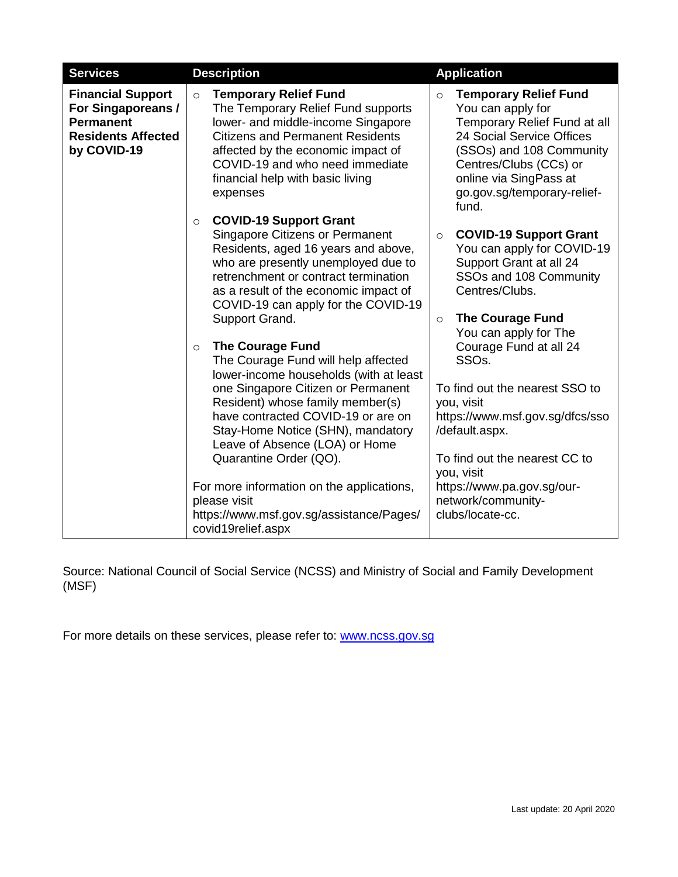| <b>Services</b>                                                                                                | <b>Description</b>                                                                                                                                                                                                                                                                                                                                                                                                                                                                                                                                                                                                                                                                                                                                                                | <b>Application</b>                                                                                                                                                                                                                                                                                                                                                                                                                                                                       |
|----------------------------------------------------------------------------------------------------------------|-----------------------------------------------------------------------------------------------------------------------------------------------------------------------------------------------------------------------------------------------------------------------------------------------------------------------------------------------------------------------------------------------------------------------------------------------------------------------------------------------------------------------------------------------------------------------------------------------------------------------------------------------------------------------------------------------------------------------------------------------------------------------------------|------------------------------------------------------------------------------------------------------------------------------------------------------------------------------------------------------------------------------------------------------------------------------------------------------------------------------------------------------------------------------------------------------------------------------------------------------------------------------------------|
| <b>Financial Support</b><br>For Singaporeans /<br><b>Permanent</b><br><b>Residents Affected</b><br>by COVID-19 | <b>Temporary Relief Fund</b><br>$\circ$<br>The Temporary Relief Fund supports<br>lower- and middle-income Singapore<br><b>Citizens and Permanent Residents</b><br>affected by the economic impact of<br>COVID-19 and who need immediate<br>financial help with basic living<br>expenses                                                                                                                                                                                                                                                                                                                                                                                                                                                                                           | <b>Temporary Relief Fund</b><br>$\circ$<br>You can apply for<br>Temporary Relief Fund at all<br>24 Social Service Offices<br>(SSOs) and 108 Community<br>Centres/Clubs (CCs) or<br>online via SingPass at<br>go.gov.sg/temporary-relief-<br>fund.                                                                                                                                                                                                                                        |
|                                                                                                                | <b>COVID-19 Support Grant</b><br>$\circ$<br><b>Singapore Citizens or Permanent</b><br>Residents, aged 16 years and above,<br>who are presently unemployed due to<br>retrenchment or contract termination<br>as a result of the economic impact of<br>COVID-19 can apply for the COVID-19<br>Support Grand.<br><b>The Courage Fund</b><br>$\circ$<br>The Courage Fund will help affected<br>lower-income households (with at least<br>one Singapore Citizen or Permanent<br>Resident) whose family member(s)<br>have contracted COVID-19 or are on<br>Stay-Home Notice (SHN), mandatory<br>Leave of Absence (LOA) or Home<br>Quarantine Order (QO).<br>For more information on the applications,<br>please visit<br>https://www.msf.gov.sg/assistance/Pages/<br>covid19relief.aspx | <b>COVID-19 Support Grant</b><br>$\circ$<br>You can apply for COVID-19<br>Support Grant at all 24<br>SSOs and 108 Community<br>Centres/Clubs.<br><b>The Courage Fund</b><br>$\circ$<br>You can apply for The<br>Courage Fund at all 24<br>SSO <sub>s</sub> .<br>To find out the nearest SSO to<br>you, visit<br>https://www.msf.gov.sg/dfcs/sso<br>/default.aspx.<br>To find out the nearest CC to<br>you, visit<br>https://www.pa.gov.sg/our-<br>network/community-<br>clubs/locate-cc. |

Source: National Council of Social Service (NCSS) and Ministry of Social and Family Development (MSF)

For more details on these services, please refer to: [www.ncss.gov.sg](http://www.ncss.gov.sg/)